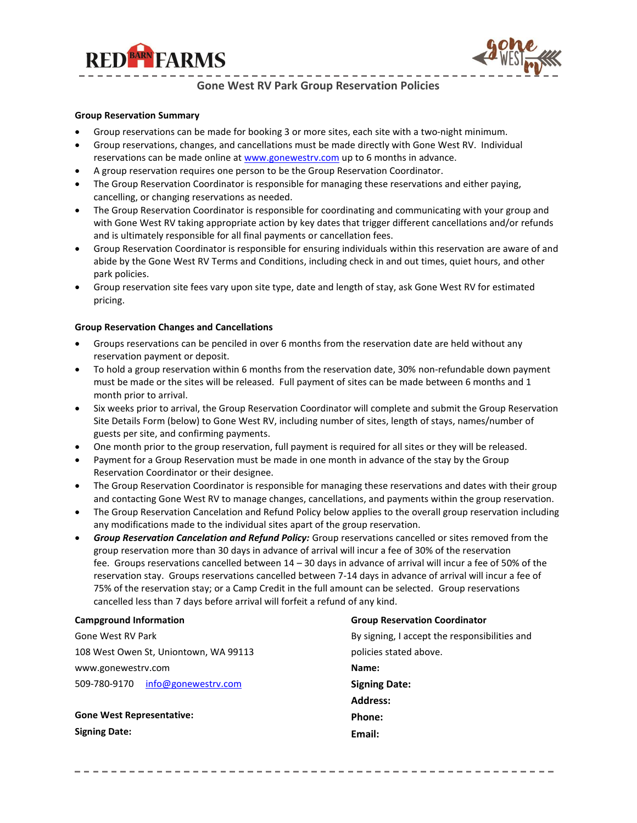



**Gone West RV Park Group Reservation Policies**

## **Group Reservation Summary**

- Group reservations can be made for booking 3 or more sites, each site with a two-night minimum.
- Group reservations, changes, and cancellations must be made directly with Gone West RV. Individual reservations can be made online at [www.gonewestrv.com](http://www.gonewestrv.com/) up to 6 months in advance.
- A group reservation requires one person to be the Group Reservation Coordinator.
- The Group Reservation Coordinator is responsible for managing these reservations and either paying, cancelling, or changing reservations as needed.
- The Group Reservation Coordinator is responsible for coordinating and communicating with your group and with Gone West RV taking appropriate action by key dates that trigger different cancellations and/or refunds and is ultimately responsible for all final payments or cancellation fees.
- Group Reservation Coordinator is responsible for ensuring individuals within this reservation are aware of and abide by the Gone West RV Terms and Conditions, including check in and out times, quiet hours, and other park policies.
- Group reservation site fees vary upon site type, date and length of stay, ask Gone West RV for estimated pricing.

## **Group Reservation Changes and Cancellations**

- Groups reservations can be penciled in over 6 months from the reservation date are held without any reservation payment or deposit.
- To hold a group reservation within 6 months from the reservation date, 30% non-refundable down payment must be made or the sites will be released. Full payment of sites can be made between 6 months and 1 month prior to arrival.
- Six weeks prior to arrival, the Group Reservation Coordinator will complete and submit the Group Reservation Site Details Form (below) to Gone West RV, including number of sites, length of stays, names/number of guests per site, and confirming payments.
- One month prior to the group reservation, full payment is required for all sites or they will be released.
- Payment for a Group Reservation must be made in one month in advance of the stay by the Group Reservation Coordinator or their designee.
- The Group Reservation Coordinator is responsible for managing these reservations and dates with their group and contacting Gone West RV to manage changes, cancellations, and payments within the group reservation.
- The Group Reservation Cancelation and Refund Policy below applies to the overall group reservation including any modifications made to the individual sites apart of the group reservation.
- *Group Reservation Cancelation and Refund Policy:* Group reservations cancelled or sites removed from the group reservation more than 30 days in advance of arrival will incur a fee of 30% of the reservation fee. Groups reservations cancelled between 14 – 30 days in advance of arrival will incur a fee of 50% of the reservation stay. Groups reservations cancelled between 7-14 days in advance of arrival will incur a fee of 75% of the reservation stay; or a Camp Credit in the full amount can be selected. Group reservations cancelled less than 7 days before arrival will forfeit a refund of any kind.

| <b>Campground Information</b>         | <b>Group Reservation Coordinator</b>          |  |  |  |
|---------------------------------------|-----------------------------------------------|--|--|--|
| Gone West RV Park                     | By signing, I accept the responsibilities and |  |  |  |
| 108 West Owen St, Uniontown, WA 99113 | policies stated above.                        |  |  |  |
| www.gonewestry.com                    | Name:                                         |  |  |  |
| 509-780-9170<br>info@gonewestry.com   | <b>Signing Date:</b>                          |  |  |  |
|                                       | <b>Address:</b>                               |  |  |  |
| <b>Gone West Representative:</b>      | Phone:                                        |  |  |  |
| <b>Signing Date:</b>                  | Email:                                        |  |  |  |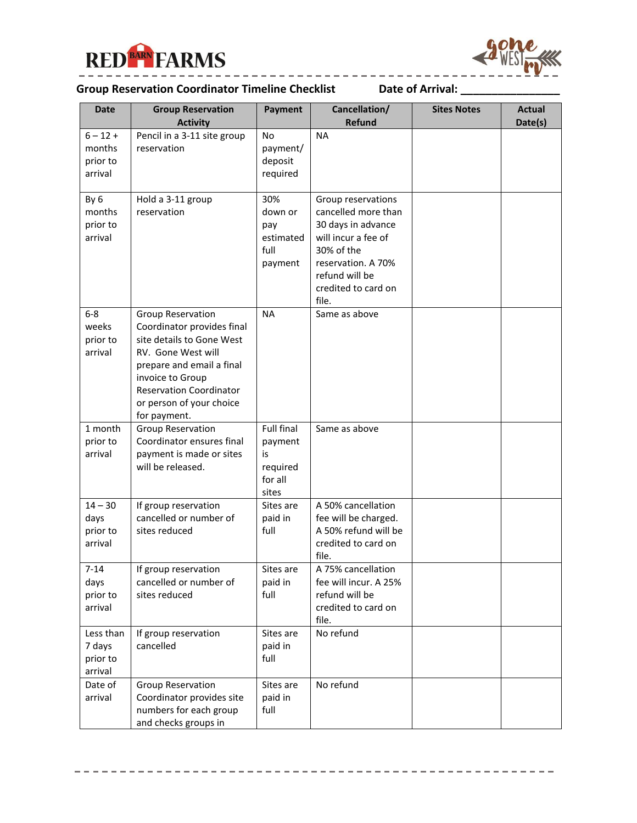



## . . . . . . . . . . . . . . . . . . **Group Reservation Coordinator Timeline Checklist Date of Arrival: \_\_\_\_\_\_\_\_\_\_\_\_\_\_\_\_**

| Date                | <b>Group Reservation</b>                      | Payment             | Cancellation/         | <b>Sites Notes</b> | Actual  |
|---------------------|-----------------------------------------------|---------------------|-----------------------|--------------------|---------|
|                     | <b>Activity</b>                               |                     | Refund                |                    | Date(s) |
| $6 - 12 +$          | Pencil in a 3-11 site group                   | No                  | <b>NA</b>             |                    |         |
| months              | reservation                                   | payment/            |                       |                    |         |
| prior to            |                                               | deposit             |                       |                    |         |
| arrival             |                                               | required            |                       |                    |         |
| By 6                | Hold a 3-11 group                             | 30%                 | Group reservations    |                    |         |
| months              | reservation                                   | down or             | cancelled more than   |                    |         |
| prior to            |                                               | pay                 | 30 days in advance    |                    |         |
| arrival             |                                               | estimated           | will incur a fee of   |                    |         |
|                     |                                               | full                | 30% of the            |                    |         |
|                     |                                               | payment             | reservation. A 70%    |                    |         |
|                     |                                               |                     | refund will be        |                    |         |
|                     |                                               |                     | credited to card on   |                    |         |
|                     |                                               |                     | file.                 |                    |         |
| $6-8$               | <b>Group Reservation</b>                      | <b>NA</b>           | Same as above         |                    |         |
| weeks               | Coordinator provides final                    |                     |                       |                    |         |
| prior to            | site details to Gone West                     |                     |                       |                    |         |
| arrival             | RV. Gone West will                            |                     |                       |                    |         |
|                     | prepare and email a final                     |                     |                       |                    |         |
|                     | invoice to Group                              |                     |                       |                    |         |
|                     | <b>Reservation Coordinator</b>                |                     |                       |                    |         |
|                     | or person of your choice                      |                     |                       |                    |         |
|                     | for payment.                                  |                     |                       |                    |         |
| 1 month             | <b>Group Reservation</b>                      | <b>Full final</b>   | Same as above         |                    |         |
| prior to<br>arrival | Coordinator ensures final                     | payment             |                       |                    |         |
|                     | payment is made or sites<br>will be released. | is                  |                       |                    |         |
|                     |                                               | required<br>for all |                       |                    |         |
|                     |                                               | sites               |                       |                    |         |
| $14 - 30$           | If group reservation                          | Sites are           | A 50% cancellation    |                    |         |
| days                | cancelled or number of                        | paid in             | fee will be charged.  |                    |         |
| prior to            | sites reduced                                 | full                | A 50% refund will be  |                    |         |
| arrival             |                                               |                     | credited to card on   |                    |         |
|                     |                                               |                     | file.                 |                    |         |
| $7 - 14$            | If group reservation                          | Sites are           | A 75% cancellation    |                    |         |
| days                | cancelled or number of                        | paid in             | fee will incur. A 25% |                    |         |
| prior to            | sites reduced                                 | full                | refund will be        |                    |         |
| arrival             |                                               |                     | credited to card on   |                    |         |
|                     |                                               |                     | file.                 |                    |         |
| Less than           | If group reservation                          | Sites are           | No refund             |                    |         |
| 7 days              | cancelled                                     | paid in<br>full     |                       |                    |         |
| prior to<br>arrival |                                               |                     |                       |                    |         |
| Date of             | Group Reservation                             | Sites are           | No refund             |                    |         |
| arrival             | Coordinator provides site                     | paid in             |                       |                    |         |
|                     | numbers for each group                        | full                |                       |                    |         |
|                     | and checks groups in                          |                     |                       |                    |         |